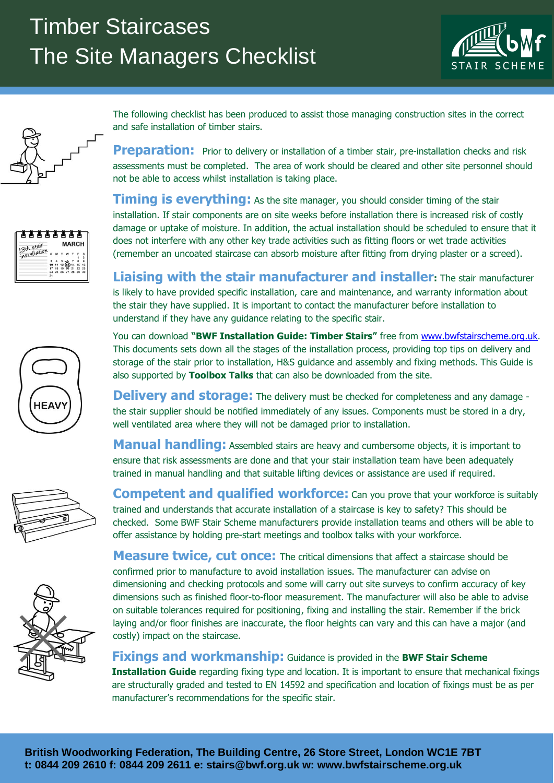

The following checklist has been produced to assist those managing construction sites in the correct and safe installation of timber stairs.

**Preparation:** Prior to delivery or installation of a timber stair, pre-installation checks and risk assessments must be completed. The area of work should be cleared and other site personnel should not be able to access whilst installation is taking place.

**Timing is everything:** As the site manager, you should consider timing of the stair installation. If stair components are on site weeks before installation there is increased risk of costly damage or uptake of moisture. In addition, the actual installation should be scheduled to ensure that it does not interfere with any other key trade activities such as fitting floors or wet trade activities (remember an uncoated staircase can absorb moisture after fitting from drying plaster or a screed).

**Liaising with the stair manufacturer and installer:** The stair manufacturer is likely to have provided specific installation, care and maintenance, and warranty information about the stair they have supplied. It is important to contact the manufacturer before installation to understand if they have any guidance relating to the specific stair.

You can download **"BWF Installation Guide: Timber Stairs"** free from [www.bwfstairscheme.org.uk.](http://www.bwfstairscheme.org.uk/) This documents sets down all the stages of the installation process, providing top tips on delivery and storage of the stair prior to installation, H&S guidance and assembly and fixing methods. This Guide is also supported by **Toolbox Talks** that can also be downloaded from the site.

**Delivery and storage:** The delivery must be checked for completeness and any damage the stair supplier should be notified immediately of any issues. Components must be stored in a dry, well ventilated area where they will not be damaged prior to installation.

**Manual handling:** Assembled stairs are heavy and cumbersome objects, it is important to ensure that risk assessments are done and that your stair installation team have been adequately trained in manual handling and that suitable lifting devices or assistance are used if required.

**Competent and qualified workforce:** Can you prove that your workforce is suitably trained and understands that accurate installation of a staircase is key to safety? This should be checked. Some BWF Stair Scheme manufacturers provide installation teams and others will be able to offer assistance by holding pre-start meetings and toolbox talks with your workforce.

**Measure twice, cut once:** The critical dimensions that affect a staircase should be confirmed prior to manufacture to avoid installation issues. The manufacturer can advise on dimensioning and checking protocols and some will carry out site surveys to confirm accuracy of key dimensions such as finished floor-to-floor measurement. The manufacturer will also be able to advise on suitable tolerances required for positioning, fixing and installing the stair. Remember if the brick laying and/or floor finishes are inaccurate, the floor heights can vary and this can have a major (and costly) impact on the staircase.

## **Fixings and workmanship:** Guidance is provided in the **BWF Stair Scheme**

**Installation Guide** regarding fixing type and location. It is important to ensure that mechanical fixings are structurally graded and tested to EN 14592 and specification and location of fixings must be as per manufacturer's recommendations for the specific stair.